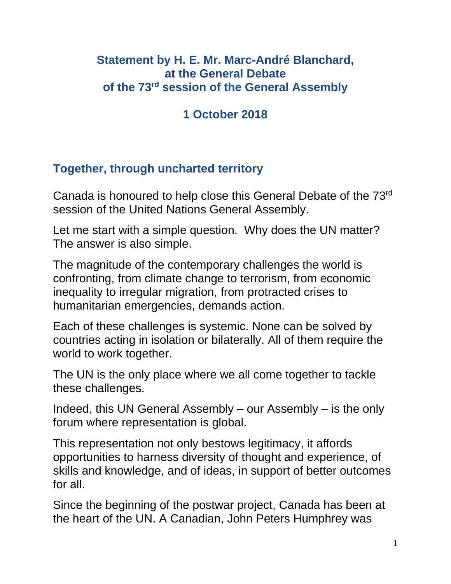### **Statement by H. E. Mr. Marc-André Blanchard, at the General Debate of the 73rd session of the General Assembly**

# **1 October 2018**

# **Together, through uncharted territory**

Canada is honoured to help close this General Debate of the 73rd session of the United Nations General Assembly.

Let me start with a simple question. Why does the UN matter? The answer is also simple.

The magnitude of the contemporary challenges the world is confronting, from climate change to terrorism, from economic inequality to irregular migration, from protracted crises to humanitarian emergencies, demands action.

Each of these challenges is systemic. None can be solved by countries acting in isolation or bilaterally. All of them require the world to work together.

The UN is the only place where we all come together to tackle these challenges.

Indeed, this UN General Assembly – our Assembly – is the only forum where representation is global.

This representation not only bestows legitimacy, it affords opportunities to harness diversity of thought and experience, of skills and knowledge, and of ideas, in support of better outcomes for all.

Since the beginning of the postwar project, Canada has been at the heart of the UN. A Canadian, John Peters Humphrey was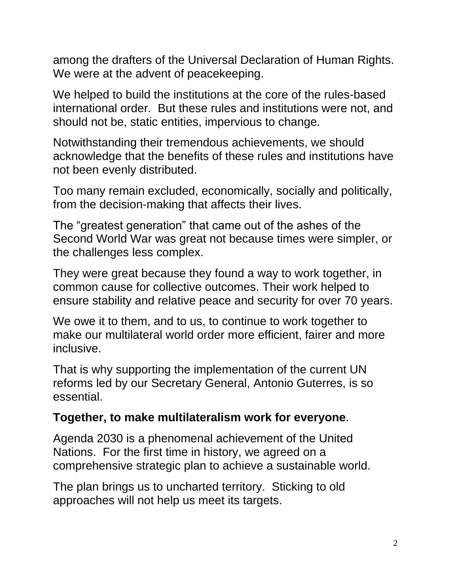among the drafters of the Universal Declaration of Human Rights. We were at the advent of peacekeeping.

We helped to build the institutions at the core of the rules-based international order. But these rules and institutions were not, and should not be, static entities, impervious to change.

Notwithstanding their tremendous achievements, we should acknowledge that the benefits of these rules and institutions have not been evenly distributed.

Too many remain excluded, economically, socially and politically, from the decision-making that affects their lives.

The "greatest generation" that came out of the ashes of the Second World War was great not because times were simpler, or the challenges less complex.

They were great because they found a way to work together, in common cause for collective outcomes. Their work helped to ensure stability and relative peace and security for over 70 years.

We owe it to them, and to us, to continue to work together to make our multilateral world order more efficient, fairer and more inclusive.

That is why supporting the implementation of the current UN reforms led by our Secretary General, Antonio Guterres, is so essential.

### **Together, to make multilateralism work for everyone**.

Agenda 2030 is a phenomenal achievement of the United Nations. For the first time in history, we agreed on a comprehensive strategic plan to achieve a sustainable world.

The plan brings us to uncharted territory. Sticking to old approaches will not help us meet its targets.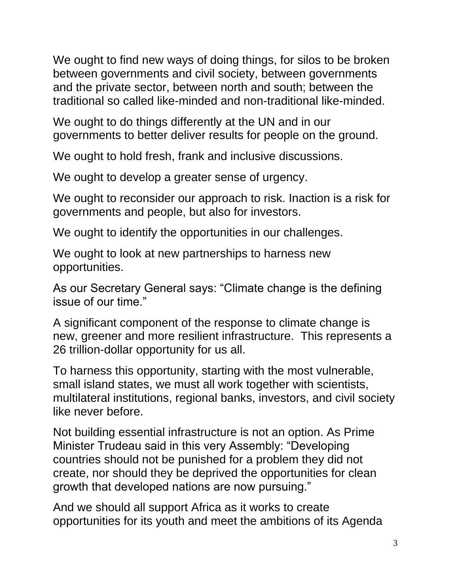We ought to find new ways of doing things, for silos to be broken between governments and civil society, between governments and the private sector, between north and south; between the traditional so called like-minded and non-traditional like-minded.

We ought to do things differently at the UN and in our governments to better deliver results for people on the ground.

We ought to hold fresh, frank and inclusive discussions.

We ought to develop a greater sense of urgency.

We ought to reconsider our approach to risk. Inaction is a risk for governments and people, but also for investors.

We ought to identify the opportunities in our challenges.

We ought to look at new partnerships to harness new opportunities.

As our Secretary General says: "Climate change is the defining issue of our time."

A significant component of the response to climate change is new, greener and more resilient infrastructure. This represents a 26 trillion-dollar opportunity for us all.

To harness this opportunity, starting with the most vulnerable, small island states, we must all work together with scientists, multilateral institutions, regional banks, investors, and civil society like never before.

Not building essential infrastructure is not an option. As Prime Minister Trudeau said in this very Assembly: "Developing countries should not be punished for a problem they did not create, nor should they be deprived the opportunities for clean growth that developed nations are now pursuing."

And we should all support Africa as it works to create opportunities for its youth and meet the ambitions of its Agenda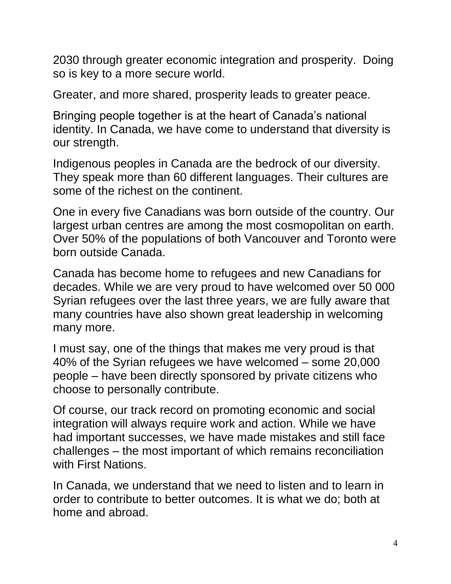2030 through greater economic integration and prosperity. Doing so is key to a more secure world.

Greater, and more shared, prosperity leads to greater peace.

Bringing people together is at the heart of Canada's national identity. In Canada, we have come to understand that diversity is our strength.

Indigenous peoples in Canada are the bedrock of our diversity. They speak more than 60 different languages. Their cultures are some of the richest on the continent.

One in every five Canadians was born outside of the country. Our largest urban centres are among the most cosmopolitan on earth. Over 50% of the populations of both Vancouver and Toronto were born outside Canada.

Canada has become home to refugees and new Canadians for decades. While we are very proud to have welcomed over 50 000 Syrian refugees over the last three years, we are fully aware that many countries have also shown great leadership in welcoming many more.

I must say, one of the things that makes me very proud is that 40% of the Syrian refugees we have welcomed – some 20,000 people – have been directly sponsored by private citizens who choose to personally contribute.

Of course, our track record on promoting economic and social integration will always require work and action. While we have had important successes, we have made mistakes and still face challenges – the most important of which remains reconciliation with First Nations.

In Canada, we understand that we need to listen and to learn in order to contribute to better outcomes. It is what we do; both at home and abroad.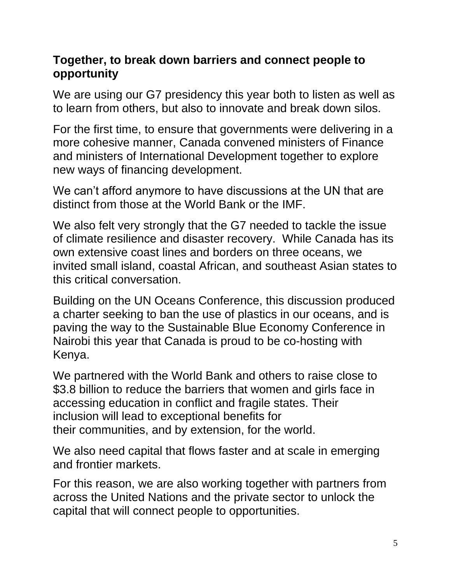### **Together, to break down barriers and connect people to opportunity**

We are using our G7 presidency this year both to listen as well as to learn from others, but also to innovate and break down silos.

For the first time, to ensure that governments were delivering in a more cohesive manner, Canada convened ministers of Finance and ministers of International Development together to explore new ways of financing development.

We can't afford anymore to have discussions at the UN that are distinct from those at the World Bank or the IMF.

We also felt very strongly that the G7 needed to tackle the issue of climate resilience and disaster recovery. While Canada has its own extensive coast lines and borders on three oceans, we invited small island, coastal African, and southeast Asian states to this critical conversation.

Building on the UN Oceans Conference, this discussion produced a charter seeking to ban the use of plastics in our oceans, and is paving the way to the Sustainable Blue Economy Conference in Nairobi this year that Canada is proud to be co-hosting with Kenya.

We partnered with the World Bank and others to raise close to \$3.8 billion to reduce the barriers that women and girls face in accessing education in conflict and fragile states. Their inclusion will lead to exceptional benefits for their communities, and by extension, for the world.

We also need capital that flows faster and at scale in emerging and frontier markets.

For this reason, we are also working together with partners from across the United Nations and the private sector to unlock the capital that will connect people to opportunities.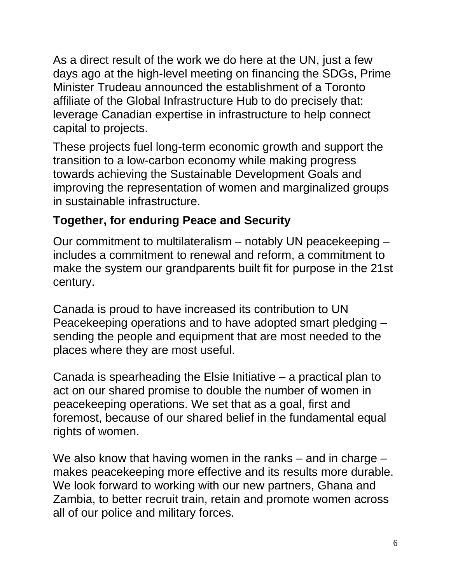As a direct result of the work we do here at the UN, just a few days ago at the high-level meeting on financing the SDGs, Prime Minister Trudeau announced the establishment of a Toronto affiliate of the Global Infrastructure Hub to do precisely that: leverage Canadian expertise in infrastructure to help connect capital to projects.

These projects fuel long-term economic growth and support the transition to a low-carbon economy while making progress towards achieving the Sustainable Development Goals and improving the representation of women and marginalized groups in sustainable infrastructure.

# **Together, for enduring Peace and Security**

Our commitment to multilateralism – notably UN peacekeeping – includes a commitment to renewal and reform, a commitment to make the system our grandparents built fit for purpose in the 21st century.

Canada is proud to have increased its contribution to UN Peacekeeping operations and to have adopted smart pledging – sending the people and equipment that are most needed to the places where they are most useful.

Canada is spearheading the Elsie Initiative – a practical plan to act on our shared promise to double the number of women in peacekeeping operations. We set that as a goal, first and foremost, because of our shared belief in the fundamental equal rights of women.

We also know that having women in the ranks – and in charge – makes peacekeeping more effective and its results more durable. We look forward to working with our new partners, Ghana and Zambia, to better recruit train, retain and promote women across all of our police and military forces.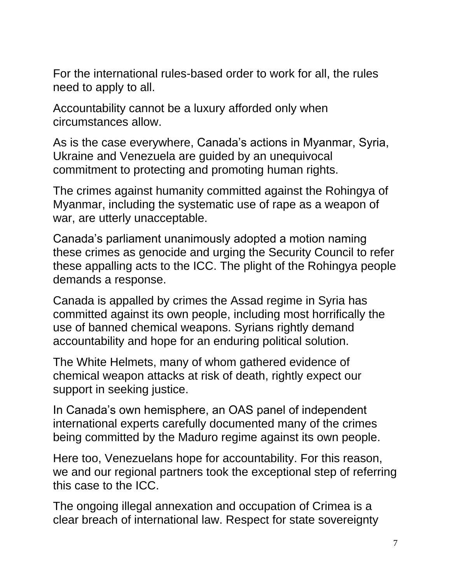For the international rules-based order to work for all, the rules need to apply to all.

Accountability cannot be a luxury afforded only when circumstances allow.

As is the case everywhere, Canada's actions in Myanmar, Syria, Ukraine and Venezuela are guided by an unequivocal commitment to protecting and promoting human rights.

The crimes against humanity committed against the Rohingya of Myanmar, including the systematic use of rape as a weapon of war, are utterly unacceptable.

Canada's parliament unanimously adopted a motion naming these crimes as genocide and urging the Security Council to refer these appalling acts to the ICC. The plight of the Rohingya people demands a response.

Canada is appalled by crimes the Assad regime in Syria has committed against its own people, including most horrifically the use of banned chemical weapons. Syrians rightly demand accountability and hope for an enduring political solution.

The White Helmets, many of whom gathered evidence of chemical weapon attacks at risk of death, rightly expect our support in seeking justice.

In Canada's own hemisphere, an OAS panel of independent international experts carefully documented many of the crimes being committed by the Maduro regime against its own people.

Here too, Venezuelans hope for accountability. For this reason, we and our regional partners took the exceptional step of referring this case to the ICC.

The ongoing illegal annexation and occupation of Crimea is a clear breach of international law. Respect for state sovereignty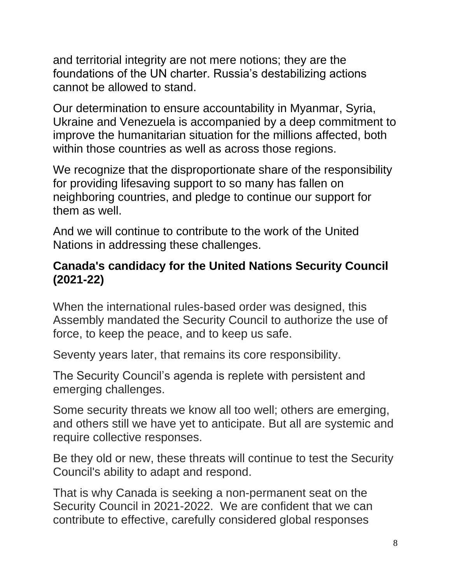and territorial integrity are not mere notions; they are the foundations of the UN charter. Russia's destabilizing actions cannot be allowed to stand.

Our determination to ensure accountability in Myanmar, Syria, Ukraine and Venezuela is accompanied by a deep commitment to improve the humanitarian situation for the millions affected, both within those countries as well as across those regions.

We recognize that the disproportionate share of the responsibility for providing lifesaving support to so many has fallen on neighboring countries, and pledge to continue our support for them as well.

And we will continue to contribute to the work of the United Nations in addressing these challenges.

### **Canada's candidacy for the United Nations Security Council (2021-22)**

When the international rules-based order was designed, this Assembly mandated the Security Council to authorize the use of force, to keep the peace, and to keep us safe.

Seventy years later, that remains its core responsibility.

The Security Council's agenda is replete with persistent and emerging challenges.

Some security threats we know all too well; others are emerging, and others still we have yet to anticipate. But all are systemic and require collective responses.

Be they old or new, these threats will continue to test the Security Council's ability to adapt and respond.

That is why Canada is seeking a non-permanent seat on the Security Council in 2021-2022. We are confident that we can contribute to effective, carefully considered global responses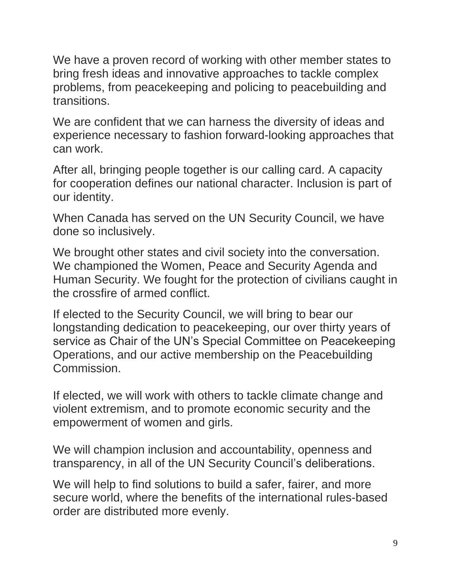We have a proven record of working with other member states to bring fresh ideas and innovative approaches to tackle complex problems, from peacekeeping and policing to peacebuilding and transitions.

We are confident that we can harness the diversity of ideas and experience necessary to fashion forward-looking approaches that can work.

After all, bringing people together is our calling card. A capacity for cooperation defines our national character. Inclusion is part of our identity.

When Canada has served on the UN Security Council, we have done so inclusively.

We brought other states and civil society into the conversation. We championed the Women, Peace and Security Agenda and Human Security. We fought for the protection of civilians caught in the crossfire of armed conflict.

If elected to the Security Council, we will bring to bear our longstanding dedication to peacekeeping, our over thirty years of service as Chair of the UN's Special Committee on Peacekeeping Operations, and our active membership on the Peacebuilding Commission.

If elected, we will work with others to tackle climate change and violent extremism, and to promote economic security and the empowerment of women and girls.

We will champion inclusion and accountability, openness and transparency, in all of the UN Security Council's deliberations.

We will help to find solutions to build a safer, fairer, and more secure world, where the benefits of the international rules-based order are distributed more evenly.